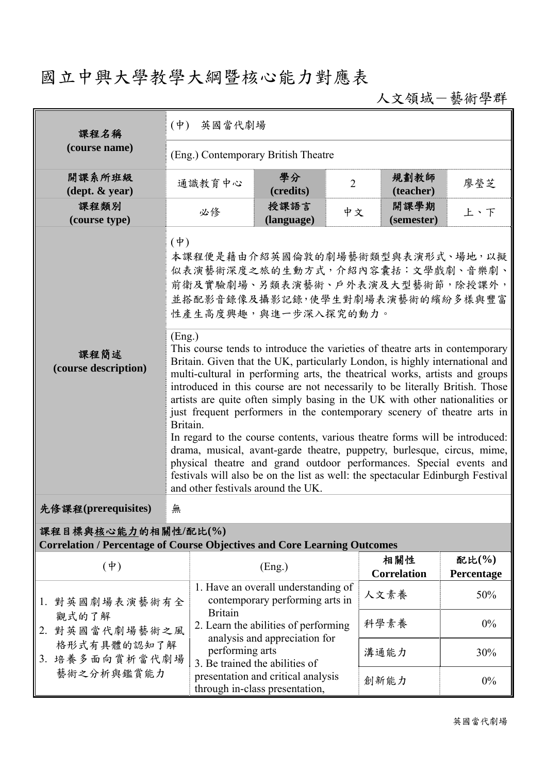## 國立中興大學教學大綱暨核心能力對應表

人文領域-藝術學群

| 課程名稱                                                                                                   | (中) 英國當代劇場                                                                                                                                                                                                                                                                                                                                                                                                                                                                                                                                                                                                                                                                                                                                                                                                                                                 |                                                                                                                                                                                                                            |                |                           |                        |  |  |  |
|--------------------------------------------------------------------------------------------------------|------------------------------------------------------------------------------------------------------------------------------------------------------------------------------------------------------------------------------------------------------------------------------------------------------------------------------------------------------------------------------------------------------------------------------------------------------------------------------------------------------------------------------------------------------------------------------------------------------------------------------------------------------------------------------------------------------------------------------------------------------------------------------------------------------------------------------------------------------------|----------------------------------------------------------------------------------------------------------------------------------------------------------------------------------------------------------------------------|----------------|---------------------------|------------------------|--|--|--|
| (course name)                                                                                          | (Eng.) Contemporary British Theatre                                                                                                                                                                                                                                                                                                                                                                                                                                                                                                                                                                                                                                                                                                                                                                                                                        |                                                                                                                                                                                                                            |                |                           |                        |  |  |  |
| 開課系所班級<br>$(\text{dept.} \& \text{ year})$                                                             | 通識教育中心                                                                                                                                                                                                                                                                                                                                                                                                                                                                                                                                                                                                                                                                                                                                                                                                                                                     | 學分<br>(credits)                                                                                                                                                                                                            | $\overline{2}$ | 規劃教師<br>(teacher)         | 廖瑩芝                    |  |  |  |
| 課程類別<br>(course type)                                                                                  | 必修                                                                                                                                                                                                                                                                                                                                                                                                                                                                                                                                                                                                                                                                                                                                                                                                                                                         | 授課語言<br>(language)                                                                                                                                                                                                         | 中文             | 開課學期<br>(semester)        | 上、下                    |  |  |  |
|                                                                                                        | $(\dagger)$<br>本課程便是藉由介紹英國倫敦的劇場藝術類型與表演形式、場地,以擬<br>似表演藝術深度之旅的生動方式,介紹內容囊括:文學戲劇、音樂劇、<br>前衛及實驗劇場、另類表演藝術、戶外表演及大型藝術節,除授課外,<br>並搭配影音錄像及攝影記錄,使學生對劇場表演藝術的繽紛多樣與豐富<br>性產生高度興趣,與進一步深入探究的動力。<br>(Eng.)                                                                                                                                                                                                                                                                                                                                                                                                                                                                                                                                                                                                                                                                  |                                                                                                                                                                                                                            |                |                           |                        |  |  |  |
| 課程簡述<br>(course description)                                                                           | This course tends to introduce the varieties of theatre arts in contemporary<br>Britain. Given that the UK, particularly London, is highly international and<br>multi-cultural in performing arts, the theatrical works, artists and groups<br>introduced in this course are not necessarily to be literally British. Those<br>artists are quite often simply basing in the UK with other nationalities or<br>just frequent performers in the contemporary scenery of theatre arts in<br>Britain.<br>In regard to the course contents, various theatre forms will be introduced:<br>drama, musical, avant-garde theatre, puppetry, burlesque, circus, mime,<br>physical theatre and grand outdoor performances. Special events and<br>festivals will also be on the list as well: the spectacular Edinburgh Festival<br>and other festivals around the UK. |                                                                                                                                                                                                                            |                |                           |                        |  |  |  |
| 先修課程(prerequisites)                                                                                    | 無                                                                                                                                                                                                                                                                                                                                                                                                                                                                                                                                                                                                                                                                                                                                                                                                                                                          |                                                                                                                                                                                                                            |                |                           |                        |  |  |  |
| 課程目標與核心能力的相關性/配比(%)<br><b>Correlation / Percentage of Course Objectives and Core Learning Outcomes</b> |                                                                                                                                                                                                                                                                                                                                                                                                                                                                                                                                                                                                                                                                                                                                                                                                                                                            |                                                                                                                                                                                                                            |                |                           |                        |  |  |  |
| $(\dagger)$                                                                                            |                                                                                                                                                                                                                                                                                                                                                                                                                                                                                                                                                                                                                                                                                                                                                                                                                                                            | (Eng.)                                                                                                                                                                                                                     |                | 相關性<br><b>Correlation</b> | 配比 $(\%$<br>Percentage |  |  |  |
| 1. 對英國劇場表演藝術有全                                                                                         | <b>Britain</b>                                                                                                                                                                                                                                                                                                                                                                                                                                                                                                                                                                                                                                                                                                                                                                                                                                             | 1. Have an overall understanding of<br>contemporary performing arts in                                                                                                                                                     |                | 人文素養                      | 50%                    |  |  |  |
| 觀式的了解<br>2. 對英國當代劇場藝術之風                                                                                |                                                                                                                                                                                                                                                                                                                                                                                                                                                                                                                                                                                                                                                                                                                                                                                                                                                            | 科學素養<br>2. Learn the abilities of performing<br>analysis and appreciation for<br>performing arts<br>溝通能力<br>3. Be trained the abilities of<br>presentation and critical analysis<br>創新能力<br>through in-class presentation, |                |                           | $0\%$                  |  |  |  |
| 格形式有具體的認知了解<br>3. 培養多面向賞析當代劇場                                                                          |                                                                                                                                                                                                                                                                                                                                                                                                                                                                                                                                                                                                                                                                                                                                                                                                                                                            |                                                                                                                                                                                                                            |                |                           | 30%                    |  |  |  |
| 藝術之分析與鑑賞能力                                                                                             |                                                                                                                                                                                                                                                                                                                                                                                                                                                                                                                                                                                                                                                                                                                                                                                                                                                            |                                                                                                                                                                                                                            |                |                           | $0\%$                  |  |  |  |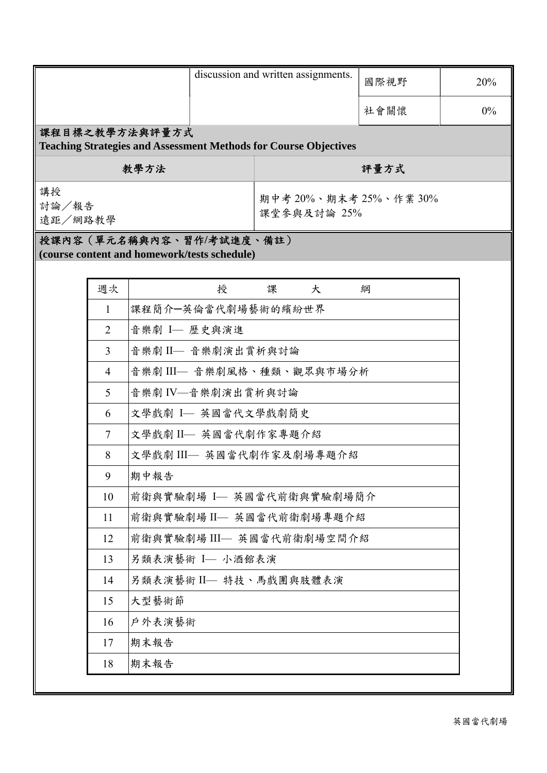|                                                                                           |                | discussion and written assignments. |                                       |        | 國際視野  | 20% |  |  |  |  |
|-------------------------------------------------------------------------------------------|----------------|-------------------------------------|---------------------------------------|--------|-------|-----|--|--|--|--|
|                                                                                           |                |                                     |                                       | 社會關懷   | $0\%$ |     |  |  |  |  |
| 課程目標之教學方法與評量方式<br><b>Teaching Strategies and Assessment Methods for Course Objectives</b> |                |                                     |                                       |        |       |     |  |  |  |  |
| 教學方法                                                                                      |                |                                     | 評量方式                                  |        |       |     |  |  |  |  |
| 講授<br>討論/報告<br>遠距/網路教學                                                                    |                |                                     | 期中考 20%、期末考 25%、作業 30%<br>課堂參與及討論 25% |        |       |     |  |  |  |  |
| 授課內容(單元名稱與內容、習作/考試進度、備註)<br>(course content and homework/tests schedule)                  |                |                                     |                                       |        |       |     |  |  |  |  |
|                                                                                           |                |                                     |                                       |        |       |     |  |  |  |  |
|                                                                                           | 週次             |                                     | 授                                     | 課<br>大 | 綱     |     |  |  |  |  |
|                                                                                           | 1              | 課程簡介一英倫當代劇場藝術的繽紛世界                  |                                       |        |       |     |  |  |  |  |
|                                                                                           | $\overline{2}$ | 音樂劇 I- 歷史與演進                        |                                       |        |       |     |  |  |  |  |
|                                                                                           | 3              | 音樂劇 II- 音樂劇演出賞析與討論                  |                                       |        |       |     |  |  |  |  |
|                                                                                           | 4              | 音樂劇 III— 音樂劇風格、種類、觀眾與市場分析           |                                       |        |       |     |  |  |  |  |
|                                                                                           | 5              | 音樂劇 IV - 音樂劇演出賞析與討論                 |                                       |        |       |     |  |  |  |  |
|                                                                                           | 6              | 文學戲劇 I- 英國當代文學戲劇簡史                  |                                       |        |       |     |  |  |  |  |
|                                                                                           | $\tau$         | 文學戲劇 II- 英國當代劇作家專題介紹                |                                       |        |       |     |  |  |  |  |
|                                                                                           | 8              | 文學戲劇 III- 英國當代劇作家及劇場專題介紹            |                                       |        |       |     |  |  |  |  |
|                                                                                           | 9              | 期中報告                                |                                       |        |       |     |  |  |  |  |
|                                                                                           | 10             | 前衛與實驗劇場 I— 英國當代前衛與實驗劇場簡介            |                                       |        |       |     |  |  |  |  |
|                                                                                           | 11             | 前衛與實驗劇場 II- 英國當代前衛劇場專題介紹            |                                       |        |       |     |  |  |  |  |
|                                                                                           | 12             | 前衛與實驗劇場 III- 英國當代前衛劇場空間介紹           |                                       |        |       |     |  |  |  |  |
|                                                                                           | 13             | 另類表演藝術 I- 小酒館表演                     |                                       |        |       |     |  |  |  |  |
|                                                                                           | 14             | 另類表演藝術 II- 特技、馬戲團與肢體表演              |                                       |        |       |     |  |  |  |  |
|                                                                                           | 15             | 大型藝術節                               |                                       |        |       |     |  |  |  |  |
|                                                                                           | 16             | 戶外表演藝術                              |                                       |        |       |     |  |  |  |  |
|                                                                                           | 17             | 期末報告                                |                                       |        |       |     |  |  |  |  |
|                                                                                           | 18             | 期末報告                                |                                       |        |       |     |  |  |  |  |
|                                                                                           |                |                                     |                                       |        |       |     |  |  |  |  |